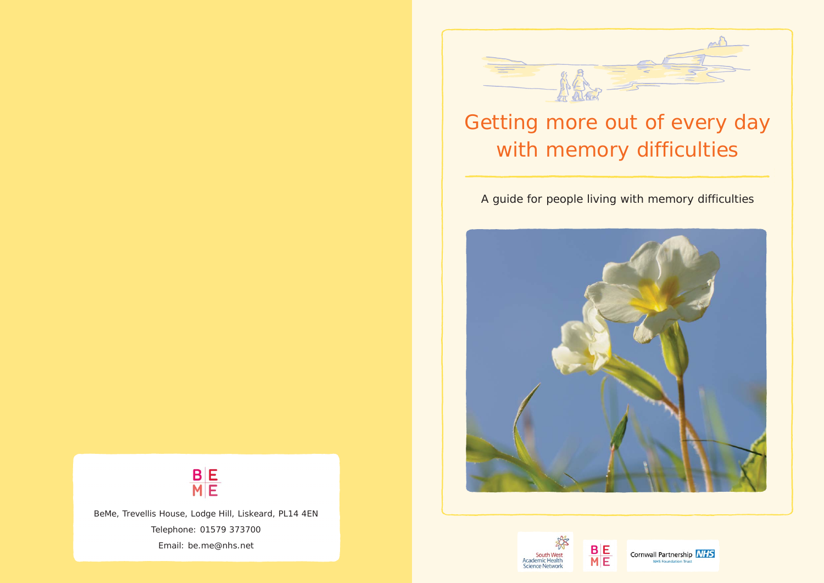

# Getting more out of every day with memory difficulties

A guide for people living with memory difficulties





BeMe, Trevellis House, Lodge Hill, Liskeard, PL14 4EN Telephone: 01579 373700 Email: be.me@nhs.net



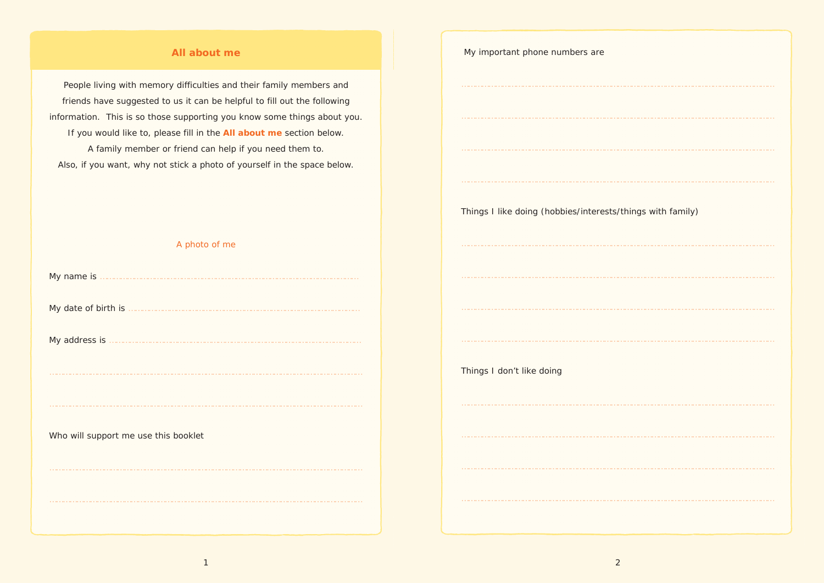## **All about me**

People living with memory difficulties and their family members and friends have suggested to us it can be helpful to fill out the following information. This is so those supporting you know some things about you. If you would like to, please fill in the **All about me** section below. A family member or friend can help if you need them to. Also, if you want, why not stick a photo of yourself in the space below.

A photo of me

My date of birth is …………………………………………………………………………………………

My address is …………………………………………………………………………………………………

Who will support me use this booklet

| My important phone numbers are                             |
|------------------------------------------------------------|
|                                                            |
|                                                            |
|                                                            |
|                                                            |
|                                                            |
| Things I like doing (hobbies/interests/things with family) |
|                                                            |
|                                                            |
|                                                            |
|                                                            |
|                                                            |
|                                                            |
| Things I don't like doing                                  |
|                                                            |
|                                                            |
|                                                            |
|                                                            |
|                                                            |
|                                                            |
|                                                            |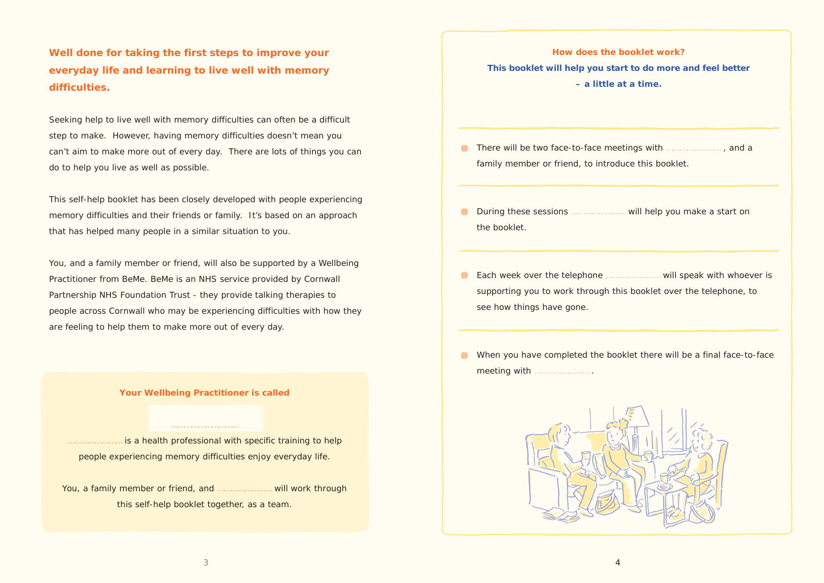**Well done for taking the first steps to improve your everyday life and learning to live well with memory difficulties.** 

Seeking help to live well with memory difficulties can often be a difficult step to make. However, having memory difficulties doesn't mean you can't aim to make more out of every day. There are lots of things you can do to help you live as well as possible.

This self-help booklet has been closely developed with people experiencing memory difficulties and their friends or family. It's based on an approach that has helped many people in a similar situation to you.

- **C** There will be two face-to-face meetings with **EXECUTE:** There will be two face-to-face meetings with **EXECUTE:** family member or friend, to introduce this booklet.
- **O** During these sessions *……………………* will help you make a start on the booklet.
- Each week over the telephone …………………… will speak with whoever is supporting you to work through this booklet over the telephone, to see how things have gone.
- When you have completed the booklet there will be a final face-to-face meeting with …………………… .



You, and a family member or friend, will also be supported by a Wellbeing Practitioner from BeMe. BeMe is an NHS service provided by Cornwall Partnership NHS Foundation Trust - they provide talking therapies to people across Cornwall who may be experiencing difficulties with how they are feeling to help them to make more out of every day.

is a health professional with specific training to help people experiencing memory difficulties enjoy everyday life.

**How does the booklet work? This booklet will help you start to do more and feel better – a little at a time.**

**Your Wellbeing Practitioner is called**

…………………………

You, a family member or friend, and …………………… will work through this self-help booklet together, as a team.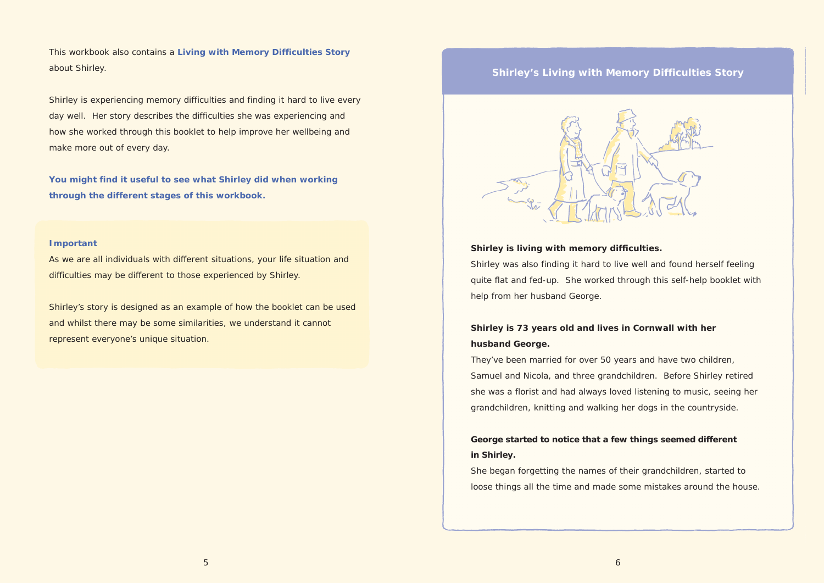This workbook also contains a **Living with Memory Difficulties Story** about Shirley.

Shirley is experiencing memory difficulties and finding it hard to live every day well. Her story describes the difficulties she was experiencing and how she worked through this booklet to help improve her wellbeing and make more out of every day.

**You might find it useful to see what Shirley did when working through the different stages of this workbook.**

### **Important**

As we are all individuals with different situations, your life situation and difficulties may be different to those experienced by Shirley.

Shirley's story is designed as an example of how the booklet can be used and whilst there may be some similarities, we understand it cannot represent everyone's unique situation.

## **Shirley's Living with Memory Difficulties Story**



**Shirley is living with memory difficulties.** Shirley was also finding it hard to live well and found herself feeling quite flat and fed-up. She worked through this self-help booklet with help from her husband George.

## **Shirley is 73 years old and lives in Cornwall with her husband George.**

They've been married for over 50 years and have two children, Samuel and Nicola, and three grandchildren. Before Shirley retired she was a florist and had always loved listening to music, seeing her grandchildren, knitting and walking her dogs in the countryside.

## **George started to notice that a few things seemed different in Shirley.**

She began forgetting the names of their grandchildren, started to loose things all the time and made some mistakes around the house.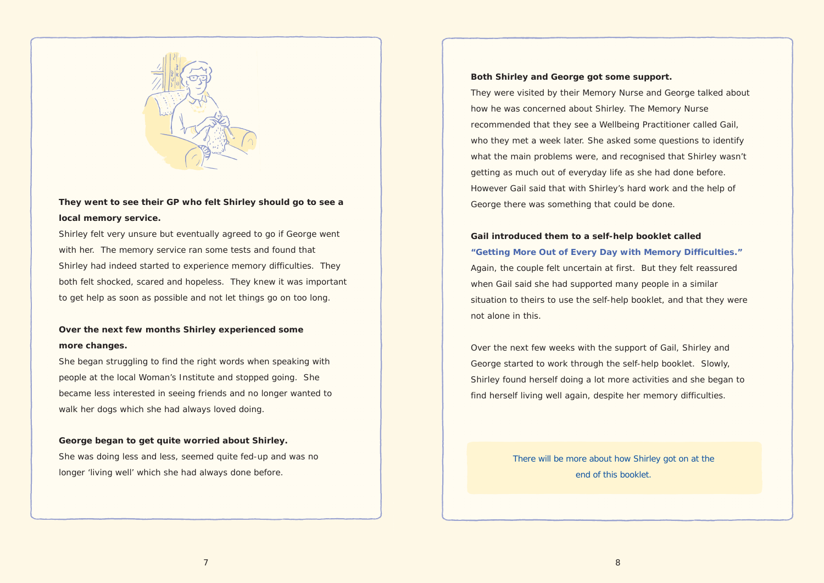

## **They went to see their GP who felt Shirley should go to see a local memory service.**

Shirley felt very unsure but eventually agreed to go if George went with her. The memory service ran some tests and found that Shirley had indeed started to experience memory difficulties. They both felt shocked, scared and hopeless. They knew it was important to get help as soon as possible and not let things go on too long.

## **Over the next few months Shirley experienced some more changes.**

She began struggling to find the right words when speaking with people at the local Woman's Institute and stopped going. She became less interested in seeing friends and no longer wanted to walk her dogs which she had always loved doing.

## **George began to get quite worried about Shirley.**

She was doing less and less, seemed quite fed-up and was no longer 'living well' which she had always done before.

## **Both Shirley and George got some support.**

They were visited by their Memory Nurse and George talked about how he was concerned about Shirley. The Memory Nurse recommended that they see a Wellbeing Practitioner called Gail, who they met a week later. She asked some questions to identify what the main problems were, and recognised that Shirley wasn't getting as much out of everyday life as she had done before. However Gail said that with Shirley's hard work and the help of George there was something that could be done.

## **Gail introduced them to a self-help booklet called "Getting More Out of Every Day with Memory Difficulties."** Again, the couple felt uncertain at first. But they felt reassured when Gail said she had supported many people in a similar situation to theirs to use the self-help booklet, and that they were not alone in this.

Over the next few weeks with the support of Gail, Shirley and George started to work through the self-help booklet. Slowly, Shirley found herself doing a lot more activities and she began to find herself living well again, despite her memory difficulties.

> There will be more about how Shirley got on at the end of this booklet.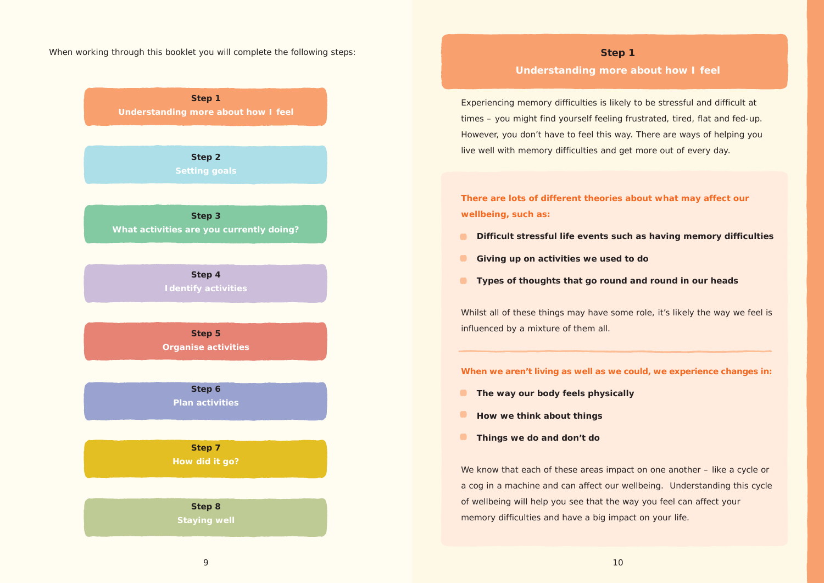When working through this booklet you will complete the following steps:

**Step 1 Understanding more about how I feel**

**Step 2** 

**Step 3 What activities are you currently doing?**

> **Step 4 Identify activities**

**Step 5 Organise activities**

> **Step 6 Plan activities**

**Step 7 How did it go?**

**Step 8 Staying well**

## **Step 1 Understanding more about how I feel**

Whilst all of these things may have some role, it's likely the way we feel is influenced by a mixture of them all.

Experiencing memory difficulties is likely to be stressful and difficult at times – you might find yourself feeling frustrated, tired, flat and fed-up. However, you don't have to feel this way. There are ways of helping you live well with memory difficulties and get more out of every day.

**There are lots of different theories about what may affect our wellbeing, such as:**

- **Difficult stressful life events such as having memory difficulties**
- **Giving up on activities we used to do**
- **Types of thoughts that go round and round in our heads**

We know that each of these areas impact on one another – like a cycle or a cog in a machine and can affect our wellbeing. Understanding this cycle of wellbeing will help you see that the way you feel can affect your memory difficulties and have a big impact on your life.

**When we aren't living as well as we could, we experience changes in:**

- **The way our body feels physically**
- **How we think about things**
- **Things we do and don't do**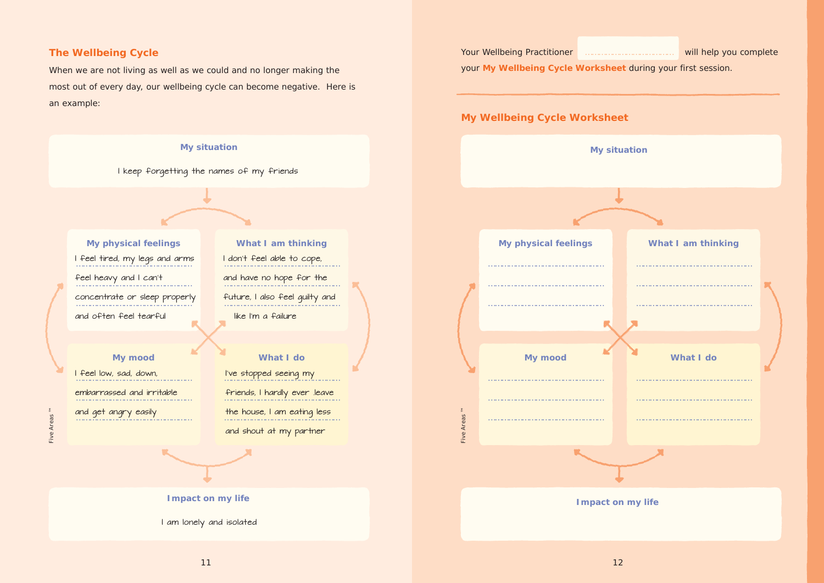## **The Wellbeing Cycle**

When we are not living as well as we could and no longer making the most out of every day, our wellbeing cycle can become negative. Here is an example:



# Your Wellbeing Practitioner **Electioner** 2008 2014 Will help you complete your **My Wellbeing Cycle Worksheet** during your first session. **My Wellbeing Cycle Worksheet My situation My physical feelings What I am thinking** …………………………………………… …………………………………………… …………………………………………… …………………………………………… …………………………………………… …………………………………………… **My mood What I do** …………………………………………… …………………………………………… …………………………………………… ……………………………………………  $\bar{\Xi}$ Five Areas ™ …………………………………………… …………………………………………… Five Areas

**Impact on my life**

| What I am thinking |  |
|--------------------|--|
| What I do          |  |
|                    |  |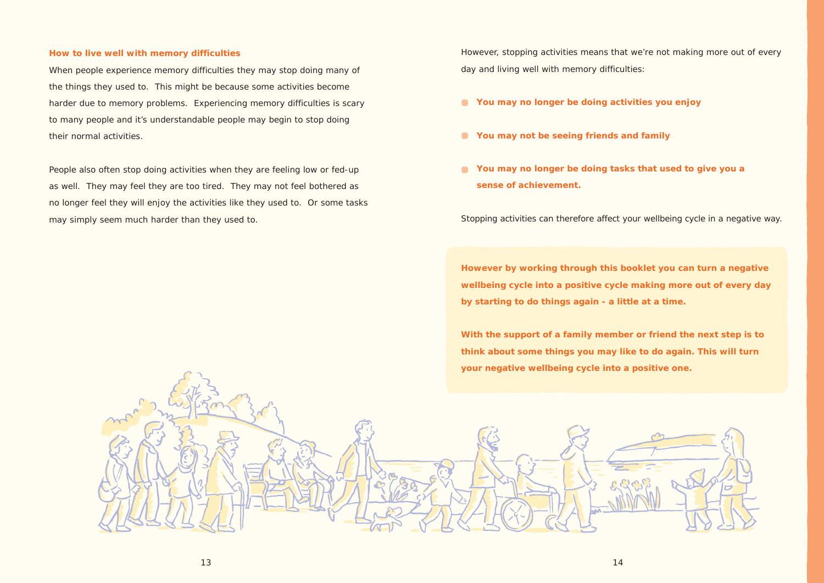### **How to live well with memory difficulties**

When people experience memory difficulties they may stop doing many of the things they used to. This might be because some activities become harder due to memory problems. Experiencing memory difficulties is scary to many people and it's understandable people may begin to stop doing their normal activities.

People also often stop doing activities when they are feeling low or fed-up as well. They may feel they are too tired. They may not feel bothered as no longer feel they will enjoy the activities like they used to. Or some tasks may simply seem much harder than they used to.

However, stopping activities means that we're not making more out of every day and living well with memory difficulties:

- **You may no longer be doing activities you enjoy**
- **You may not be seeing friends and family**
- **You may no longer be doing tasks that used to give you a sense of achievement.**

Stopping activities can therefore affect your wellbeing cycle in a negative way.

**However by working through this booklet you can turn a negative wellbeing cycle into a positive cycle making more out of every day by starting to do things again - a little at a time.** 

**With the support of a family member or friend the next step is to think about some things you may like to do again. This will turn your negative wellbeing cycle into a positive one.**

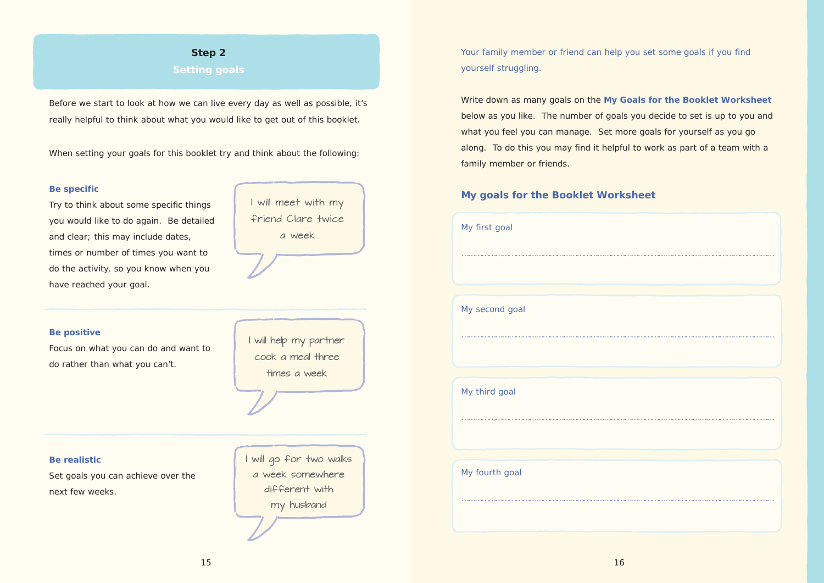Your family member or friend can help you set some goals if you find yourself struggling.

Write down as many goals on the **My Goals for the Booklet Worksheet** below as you like. The number of goals you decide to set is up to you and what you feel you can manage. Set more goals for yourself as you go along. To do this you may find it helpful to work as part of a team with a family member or friends.

## **My goals for the Booklet Worksheet**

| My first goal  |
|----------------|
|                |
|                |
| My second goal |
|                |
|                |
| My third goal  |
|                |
|                |
| My fourth goal |
|                |
|                |

## **Step 2**

## **Setting goals**

Before we start to look at how we can live every day as well as possible, it's really helpful to think about what you would like to get out of this booklet.

When setting your goals for this booklet try and think about the following:

## **Be specific**

Try to think about some specific things you would like to do again. Be detailed and clear; this may include dates, times or number of times you want to do the activity, so you know when you have reached your goal.

### **Be positive**

Focus on what you can do and want to do rather than what you can't.

### **Be realistic**

Set goals you can achieve over the next few weeks.

I will go for two walks a week somewhere different with my husband

I will help my partner cook a meal three times a week

I will meet with my friend Clare twice a week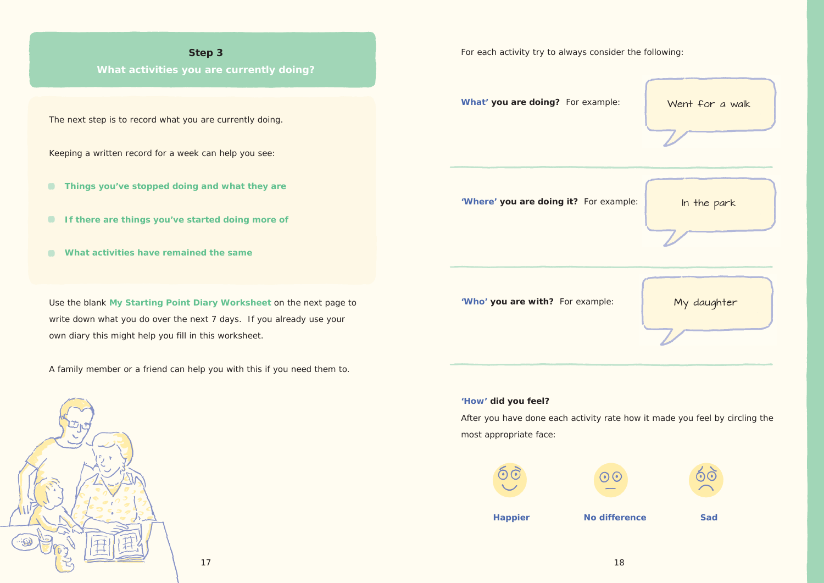**What activities you are currently doing?**

The next step is to record what you are currently doing.

Keeping a written record for a week can help you see:

- **Things you've stopped doing and what they are**
- **If there are things you've started doing more of**
- **What activities have remained the same**

Use the blank **My Starting Point Diary Worksheet** on the next page to write down what you do over the next 7 days. If you already use your own diary this might help you fill in this worksheet.

A family member or a friend can help you with this if you need them to.

For each activity try to always consider the following:

**What' you are doing?** For example:

**'Where' you are doing it?** For example:

**'Who' you are with?** For example:

**'How' did you feel?**

After you have done each activity rate how it made you feel by circling the most appropriate face:









17

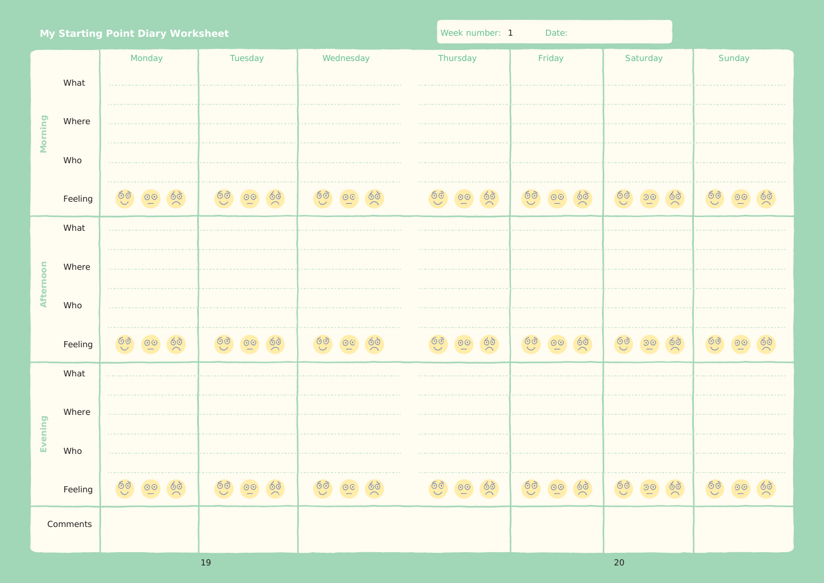| My Starting Point Diary Worksheet |                 |                                                             |         |                |          | Week number: 1<br>Date: |         |  |
|-----------------------------------|-----------------|-------------------------------------------------------------|---------|----------------|----------|-------------------------|---------|--|
|                                   | What            | Monday<br><b><i><u>A</u></i> A A A A A A A A</b>            | Tuesday | Wednesday<br>. | Thursday | Friday                  |         |  |
| Morning                           | Where           |                                                             | .       |                |          |                         |         |  |
|                                   | Who             | .                                                           |         |                |          |                         |         |  |
|                                   | Feeling         |                                                             |         |                |          | ලි $\overline{\odot}$   | $\odot$ |  |
|                                   | What            | . The second contract is a second contract of $\mathcal{A}$ |         |                |          |                         |         |  |
| Afternoon                         | Where           |                                                             |         |                |          |                         |         |  |
|                                   | Who             | .                                                           |         |                |          |                         |         |  |
|                                   | Feeling         |                                                             |         |                |          |                         |         |  |
|                                   | What            |                                                             |         |                |          |                         |         |  |
| Evening                           | Where           |                                                             |         |                |          |                         |         |  |
|                                   | Who             |                                                             |         |                |          |                         |         |  |
|                                   | Feeling         |                                                             |         |                |          |                         |         |  |
|                                   | <b>Comments</b> |                                                             |         |                |          |                         |         |  |

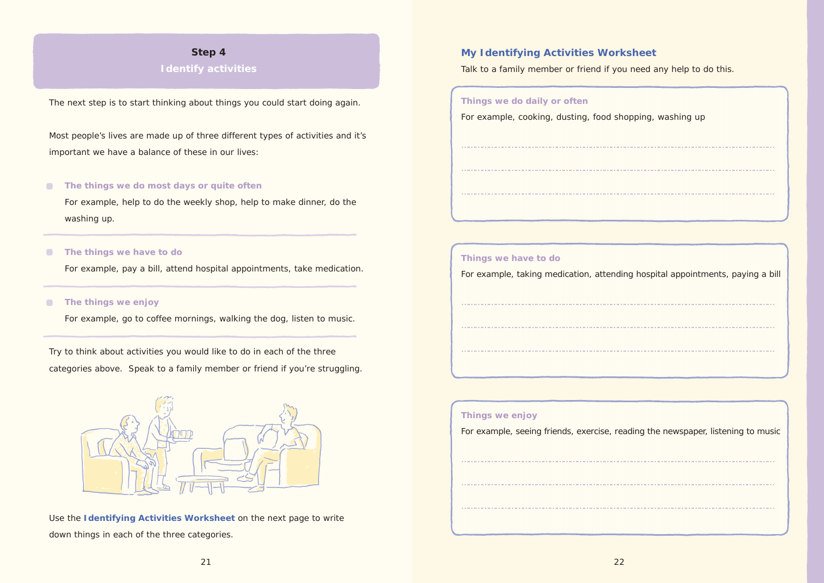## **Identify activities**

The next step is to start thinking about things you could start doing again.

### **The things we do most days or quite often**  $\blacksquare$

Most people's lives are made up of three different types of activities and it's important we have a balance of these in our lives:

### **The things we have to do**  $\bullet$

### **The things we enjoy**  $\bullet$

For example, help to do the weekly shop, help to make dinner, do the washing up.

For example, pay a bill, attend hospital appointments, take medication.

For example, go to coffee mornings, walking the dog, listen to music.

Try to think about activities you would like to do in each of the three categories above. Speak to a family member or friend if you're struggling.



Use the **Identifying Activities Worksheet** on the next page to write down things in each of the three categories.

## **My Identifying Activities Worksheet**

Talk to a family member or friend if you need any help to do this.

**Things we do daily or often** For example, cooking, dusting, food shopping, washing up ………………………………………………………………………………………………………………………… ………………………………………………………………………………………………………………………… …………………………………………………………………………………………………………………………

## **Things we have to do**

For example, taking medication, attending hospital appointments, paying a bill

………………………………………………………………………………………………………………………… ………………………………………………………………………………………………………………………… …………………………………………………………………………………………………………………………

### **Things we enjoy**

For example, seeing friends, exercise, reading the newspaper, listening to music

………………………………………………………………………………………………………………………… ………………………………………………………………………………………………………………………… …………………………………………………………………………………………………………………………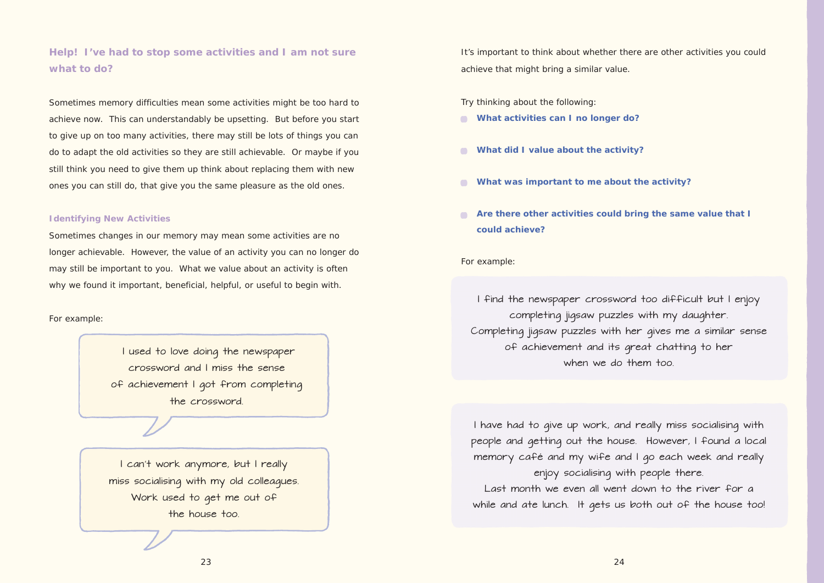## **Help! I've had to stop some activities and I am not sure what to do?**

Sometimes memory difficulties mean some activities might be too hard to achieve now. This can understandably be upsetting. But before you start to give up on too many activities, there may still be lots of things you can do to adapt the old activities so they are still achievable. Or maybe if you still think you need to give them up think about replacing them with new ones you can still do, that give you the same pleasure as the old ones.

### **Identifying New Activities**

- **What activities can I no longer do?**
- **What did I value about the activity?**
- **What was important to me about the activity?**
- **Are there other activities could bring the same value that I could achieve?**

Sometimes changes in our memory may mean some activities are no longer achievable. However, the value of an activity you can no longer do may still be important to you. What we value about an activity is often why we found it important, beneficial, helpful, or useful to begin with.

> I find the newspaper crossword too difficult but I enjoy completing jigsaw puzzles with my daughter. Completing jigsaw puzzles with her gives me a similar sense of achievement and its great chatting to her when we do them too.

> I have had to give up work, and really miss socialising with people and getting out the house. However, I found a local memory café and my wife and I go each week and really enjoy socialising with people there. Last month we even all went down to the river for a while and ate lunch. It gets us both out of the house too!

For example:

It's important to think about whether there are other activities you could achieve that might bring a similar value.

I used to love doing the newspaper crossword and I miss the sense of achievement I got from completing the crossword.

Try thinking about the following:

For example:

I can't work anymore, but I really miss socialising with my old colleagues. Work used to get me out of the house too.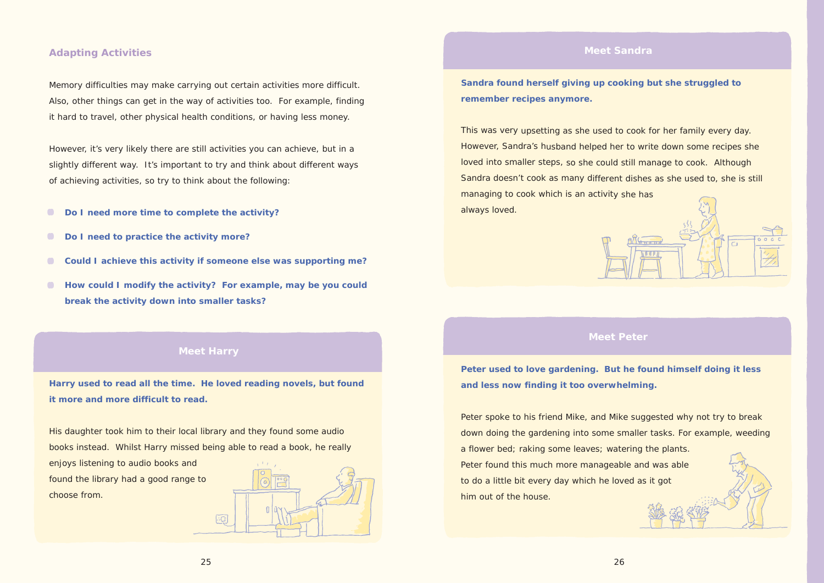

## **Adapting Activities**

Memory difficulties may make carrying out certain activities more difficult. Also, other things can get in the way of activities too. For example, finding it hard to travel, other physical health conditions, or having less money.

However, it's very likely there are still activities you can achieve, but in a slightly different way. It's important to try and think about different ways of achieving activities, so try to think about the following:

- $\bullet$ **Do I need more time to complete the activity?**
- $\bullet$ **Do I need to practice the activity more?**
- **Could I achieve this activity if someone else was supporting me?**  $\bullet$
- **How could I modify the activity? For example, may be you could**  $\bullet$ **break the activity down into smaller tasks?**

## **Meet Harry**

**Harry used to read all the time. He loved reading novels, but found it more and more difficult to read.**

His daughter took him to their local library and they found some audio books instead. Whilst Harry missed being able to read a book, he really

enjoys listening to audio books and found the library had a good range to choose from.



## **Meet Sandra**

**Sandra found herself giving up cooking but she struggled to remember recipes anymore.**

This was very upsetting as she used to cook for her family every day. However, Sandra's husband helped her to write down some recipes she loved into smaller steps, so she could still manage to cook. Although Sandra doesn't cook as many different dishes as she used to, she is still managing to cook which is an activity she has always loved.

## **Meet Peter**

**Peter used to love gardening. But he found himself doing it less and less now finding it too overwhelming.**

Peter spoke to his friend Mike, and Mike suggested why not try to break down doing the gardening into some smaller tasks. For example, weeding a flower bed; raking some leaves; watering the plants. Peter found this much more manageable and was able to do a little bit every day which he loved as it got him out of the house.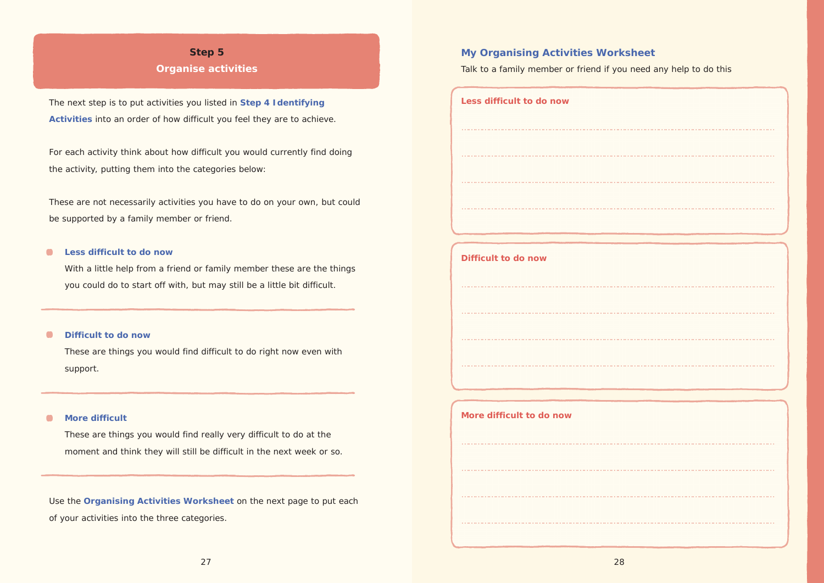## **Organise activities**

The next step is to put activities you listed in Step 4 I dentifying Activities into an order of how difficult you feel they are to achieve.

For each activity think about how difficult you would currently find doing the activity, putting them into the categories below:

These are not necessarily activities you have to do on your own, but could be supported by a family member or friend.

### $\blacksquare$ Less difficult to do now

With a little help from a friend or family member these are the things you could do to start off with, but may still be a little bit difficult.

### $\bullet$ Difficult to do now

These are things you would find difficult to do right now even with support.

### **More difficult**  $\bullet$

These are things you would find really very difficult to do at the moment and think they will still be difficult in the next week or so.

Use the Organising Activities Worksheet on the next page to put each of your activities into the three categories.

## **My Organising Activities Worksheet**

Talk to a family member or friend if you need any help to do this

| Less difficult to do now               |
|----------------------------------------|
|                                        |
|                                        |
|                                        |
|                                        |
|                                        |
| Difficult to do now                    |
|                                        |
|                                        |
|                                        |
| <b><i><u>A A A A A A A A A</u></i></b> |
|                                        |
| More difficult to do now               |
|                                        |
|                                        |
|                                        |
|                                        |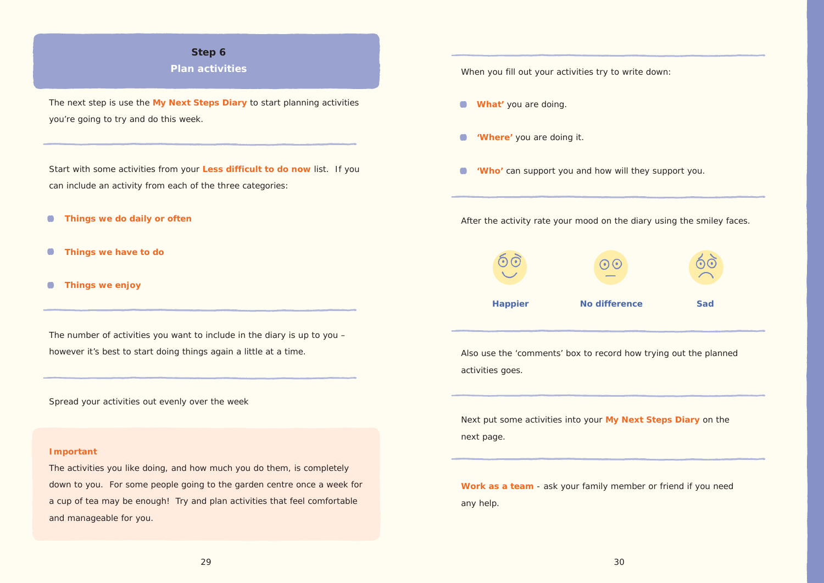## **Plan activities**

The next step is use the **My Next Steps Diary** to start planning activities you're going to try and do this week.

- $\bullet$ **Things we do daily or often**
- **Things we have to do**  $\bullet$
- $\bullet$ **Things we enjoy**

Start with some activities from your **Less difficult to do now** list. If you can include an activity from each of the three categories:

The number of activities you want to include in the diary is up to you – however it's best to start doing things again a little at a time.

Spread your activities out evenly over the week

### **Important**

The activities you like doing, and how much you do them, is completely down to you. For some people going to the garden centre once a week for a cup of tea may be enough! Try and plan activities that feel comfortable and manageable for you.



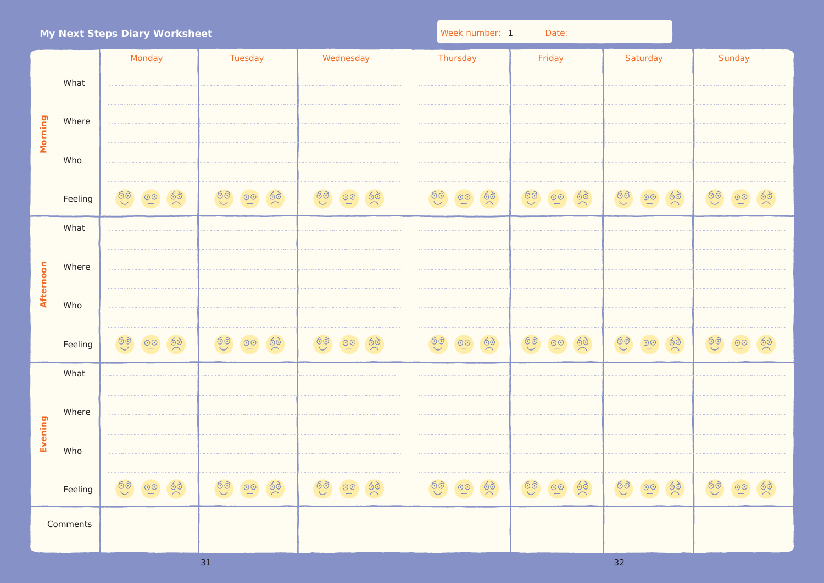|           |         | My Next Steps Diary Worksheet                                                                                                                                                                                                                                                                                                                                                                                                                             |               |           | Week number: 1 | Date:  |                                           |        |
|-----------|---------|-----------------------------------------------------------------------------------------------------------------------------------------------------------------------------------------------------------------------------------------------------------------------------------------------------------------------------------------------------------------------------------------------------------------------------------------------------------|---------------|-----------|----------------|--------|-------------------------------------------|--------|
|           |         | Monday                                                                                                                                                                                                                                                                                                                                                                                                                                                    | Tuesday       | Wednesday | Thursday       | Friday | Saturday                                  | Sunday |
|           | What    | $\label{eq:3.1} \begin{split} \mathcal{L}^{2}(\mathcal{L}^{2})&=\mathcal{L}^{2}(\mathcal{L}^{2})\mathcal{L}^{2}(\mathcal{L}^{2})\mathcal{L}^{2}(\mathcal{L}^{2})\mathcal{L}^{2}(\mathcal{L}^{2})\mathcal{L}^{2}(\mathcal{L}^{2})\mathcal{L}^{2}(\mathcal{L}^{2})\mathcal{L}^{2}(\mathcal{L}^{2})\mathcal{L}^{2}(\mathcal{L}^{2})\mathcal{L}^{2}(\mathcal{L}^{2})\mathcal{L}^{2}(\mathcal{L}^{2})\mathcal{L}^{$                                            |               |           |                |        |                                           |        |
| Morning   | Where   |                                                                                                                                                                                                                                                                                                                                                                                                                                                           |               |           |                |        |                                           |        |
|           | Who     |                                                                                                                                                                                                                                                                                                                                                                                                                                                           |               |           |                |        |                                           |        |
|           | Feeling |                                                                                                                                                                                                                                                                                                                                                                                                                                                           | $\frac{1}{2}$ |           | $\frac{1}{2}$  | 60     | $\frac{1}{2}$<br>$\overline{\mathcal{O}}$ |        |
|           | What    |                                                                                                                                                                                                                                                                                                                                                                                                                                                           |               |           |                |        |                                           |        |
| Afternoon | Where   |                                                                                                                                                                                                                                                                                                                                                                                                                                                           |               |           |                |        |                                           |        |
|           | Who     |                                                                                                                                                                                                                                                                                                                                                                                                                                                           |               |           |                |        |                                           |        |
|           | Feeling |                                                                                                                                                                                                                                                                                                                                                                                                                                                           |               |           |                |        |                                           |        |
|           | What    | $\mathcal{L}^{\mathcal{A}}(\mathcal{A}^{\mathcal{A}}(\mathcal{A}^{\mathcal{A}}(\mathcal{A}^{\mathcal{A}}(\mathcal{A}^{\mathcal{A}}(\mathcal{A}^{\mathcal{A}}(\mathcal{A}^{\mathcal{A}}(\mathcal{A}^{\mathcal{A}}(\mathcal{A}^{\mathcal{A}}(\mathcal{A}^{\mathcal{A}}(\mathcal{A}^{\mathcal{A}}(\mathcal{A}^{\mathcal{A}}(\mathcal{A}^{\mathcal{A}}(\mathcal{A}^{\mathcal{A}}(\mathcal{A}^{\mathcal{A}}(\mathcal{A}^{\mathcal{A}}(\mathcal{A}^{\mathcal{A$ |               |           |                |        |                                           |        |
|           | Where   | . The contract of the contract of the contract of the contract of the contract of the contract of $\mathcal{L}_\mathbf{X}$                                                                                                                                                                                                                                                                                                                                |               |           |                |        |                                           |        |
| Evening   | Who     |                                                                                                                                                                                                                                                                                                                                                                                                                                                           |               |           |                |        |                                           |        |
|           | Feeling |                                                                                                                                                                                                                                                                                                                                                                                                                                                           |               |           |                |        |                                           |        |
| Comments  |         |                                                                                                                                                                                                                                                                                                                                                                                                                                                           |               |           |                |        |                                           |        |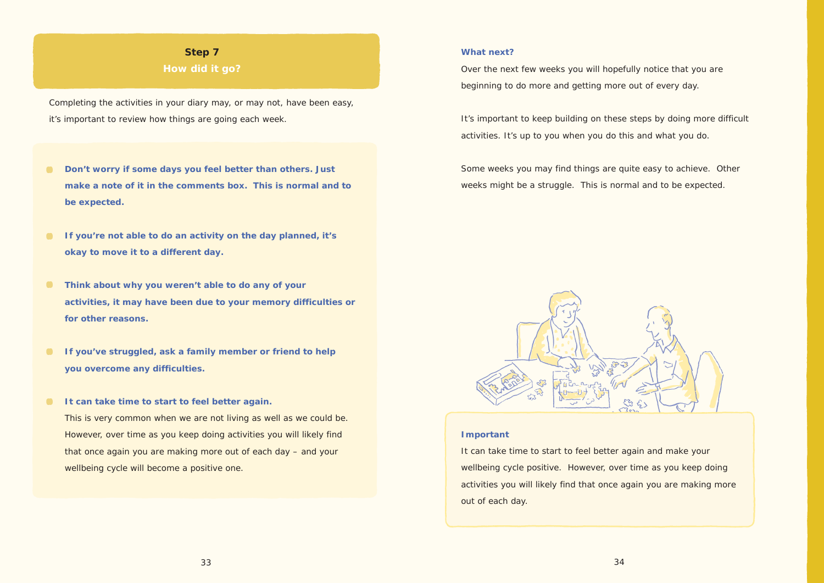**How did it go?**

Completing the activities in your diary may, or may not, have been easy, it's important to review how things are going each week.

- $\bullet$ **Don't worry if some days you feel better than others. Just make a note of it in the comments box. This is normal and to be expected.**
- **If you're not able to do an activity on the day planned, it's**   $\bullet$ **okay to move it to a different day.**
- $\bullet$ **Think about why you weren't able to do any of your activities, it may have been due to your memory difficulties or for other reasons.**
- $\bullet$ **If you've struggled, ask a family member or friend to help you overcome any difficulties.**
- $\bullet$ **It can take time to start to feel better again.**  This is very common when we are not living as well as we could be. However, over time as you keep doing activities you will likely find that once again you are making more out of each day – and your wellbeing cycle will become a positive one.

### **What next?**

Over the next few weeks you will hopefully notice that you are beginning to do more and getting more out of every day.

It's important to keep building on these steps by doing more difficult activities. It's up to you when you do this and what you do.

Some weeks you may find things are quite easy to achieve. Other weeks might be a struggle. This is normal and to be expected.



### **Important**

It can take time to start to feel better again and make your wellbeing cycle positive. However, over time as you keep doing activities you will likely find that once again you are making more out of each day.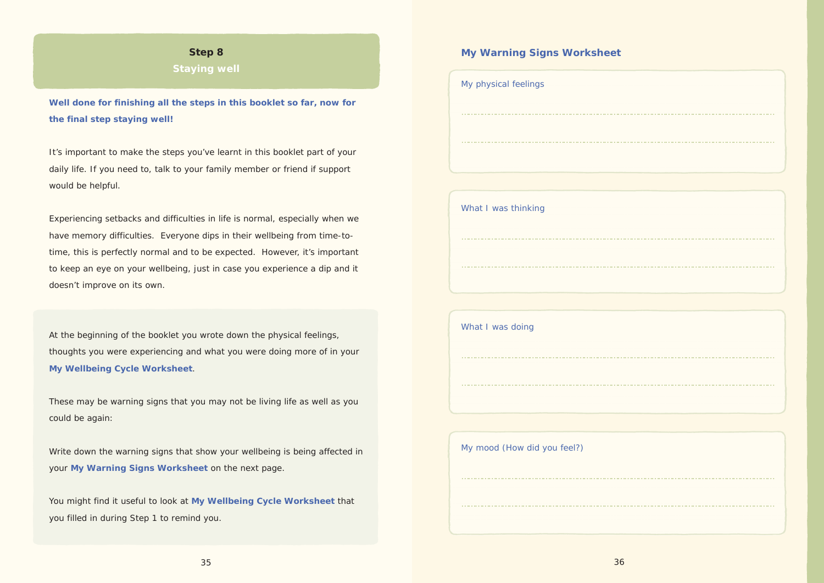**Staying well** 

Well done for finishing all the steps in this booklet so far, now for the final step staying well!

It's important to make the steps you've learnt in this booklet part of your daily life. If you need to, talk to your family member or friend if support would be helpful.

Experiencing setbacks and difficulties in life is normal, especially when we have memory difficulties. Everyone dips in their wellbeing from time-totime, this is perfectly normal and to be expected. However, it's important to keep an eye on your wellbeing, just in case you experience a dip and it doesn't improve on its own.

At the beginning of the booklet you wrote down the physical feelings, thoughts you were experiencing and what you were doing more of in your My Wellbeing Cycle Worksheet.

These may be warning signs that you may not be living life as well as you could be again:

Write down the warning signs that show your wellbeing is being affected in your My Warning Signs Worksheet on the next page.

You might find it useful to look at My Wellbeing Cycle Worksheet that you filled in during Step 1 to remind you.

## My Warning Signs Worksheet

| My physical feelings        |
|-----------------------------|
|                             |
|                             |
|                             |
| What I was thinking         |
|                             |
| .                           |
|                             |
| What I was doing            |
|                             |
|                             |
|                             |
| My mood (How did you feel?) |
|                             |
|                             |
|                             |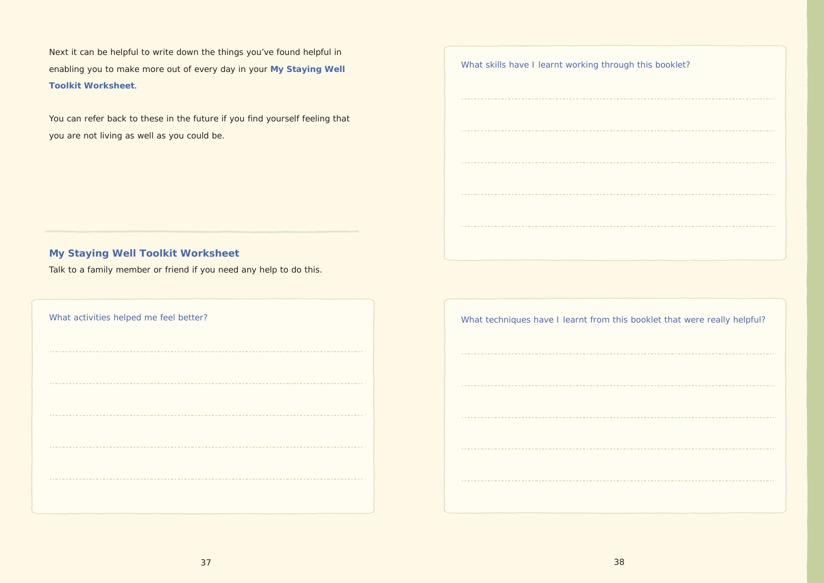Next it can be helpful to write down the things you've found helpful in enabling you to make more out of every day in your **My Staying Well Toolkit Worksheet**.

You can refer back to these in the future if you find yourself feeling that you are not living as well as you could be.

## **My Staying Well Toolkit Worksheet**

Talk to a family member or friend if you need any help to do this.

| What activities helped me feel better? |
|----------------------------------------|
|                                        |
|                                        |
|                                        |
|                                        |
|                                        |
|                                        |

| What skills have I learnt working through this booklet?                   |  |
|---------------------------------------------------------------------------|--|
|                                                                           |  |
|                                                                           |  |
|                                                                           |  |
|                                                                           |  |
|                                                                           |  |
|                                                                           |  |
|                                                                           |  |
| What techniques have I learnt from this booklet that were really helpful? |  |
|                                                                           |  |
|                                                                           |  |
|                                                                           |  |
|                                                                           |  |
|                                                                           |  |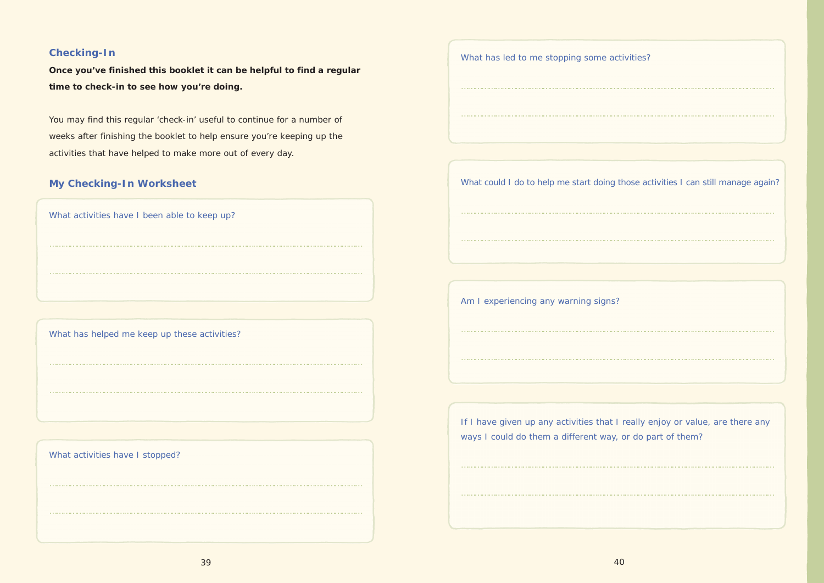| What has led to me stopping some activities?                                                                                               |
|--------------------------------------------------------------------------------------------------------------------------------------------|
|                                                                                                                                            |
|                                                                                                                                            |
|                                                                                                                                            |
| What could I do to help me start doing those activities I can still manage again?                                                          |
|                                                                                                                                            |
|                                                                                                                                            |
|                                                                                                                                            |
| Am I experiencing any warning signs?                                                                                                       |
|                                                                                                                                            |
|                                                                                                                                            |
|                                                                                                                                            |
| If I have given up any activities that I really enjoy or value, are there any<br>ways I could do them a different way, or do part of them? |
|                                                                                                                                            |
|                                                                                                                                            |

## **Checking-In**

**Once you've finished this booklet it can be helpful to find a regular time to check-in to see how you're doing.**

You may find this regular 'check-in' useful to continue for a number of weeks after finishing the booklet to help ensure you're keeping up the activities that have helped to make more out of every day.

## **My Checking-In Worksheet**

What activities have I been able to keep up?

…………………………………………………………………………………………………………………………

…………………………………………………………………………………………………………………………

What has helped me keep up these activities?

What activities have I stopped?

…………………………………………………………………………………………………………………………

…………………………………………………………………………………………………………………………

…………………………………………………………………………………………………………………………

…………………………………………………………………………………………………………………………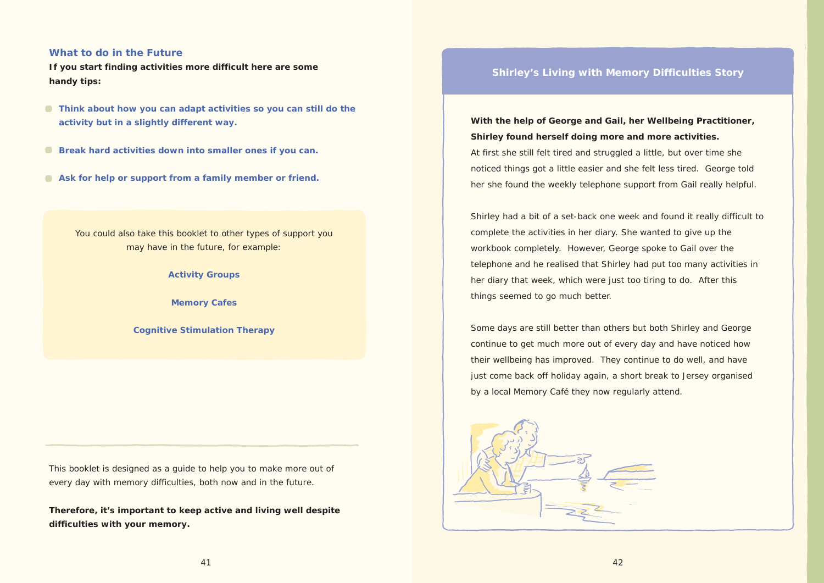## **Shirley's Living with Memory Difficulties Story**

**With the help of George and Gail, her Wellbeing Practitioner, Shirley found herself doing more and more activities.** At first she still felt tired and struggled a little, but over time she noticed things got a little easier and she felt less tired. George told her she found the weekly telephone support from Gail really helpful.

Shirley had a bit of a set-back one week and found it really difficult to complete the activities in her diary. She wanted to give up the workbook completely. However, George spoke to Gail over the telephone and he realised that Shirley had put too many activities in her diary that week, which were just too tiring to do. After this things seemed to go much better.

Some days are still better than others but both Shirley and George continue to get much more out of every day and have noticed how their wellbeing has improved. They continue to do well, and have just come back off holiday again, a short break to Jersey organised by a local Memory Café they now regularly attend.



## **What to do in the Future**

**If you start finding activities more difficult here are some handy tips:**

- **C** Think about how you can adapt activities so you can still do the **activity but in a slightly different way.**
- **Break hard activities down into smaller ones if you can.**
- **Ask for help or support from a family member or friend.**

You could also take this booklet to other types of support you may have in the future, for example:

## **Activity Groups**

**Memory Cafes**

**Cognitive Stimulation Therapy**

This booklet is designed as a guide to help you to make more out of every day with memory difficulties, both now and in the future.

**Therefore, it's important to keep active and living well despite difficulties with your memory.**